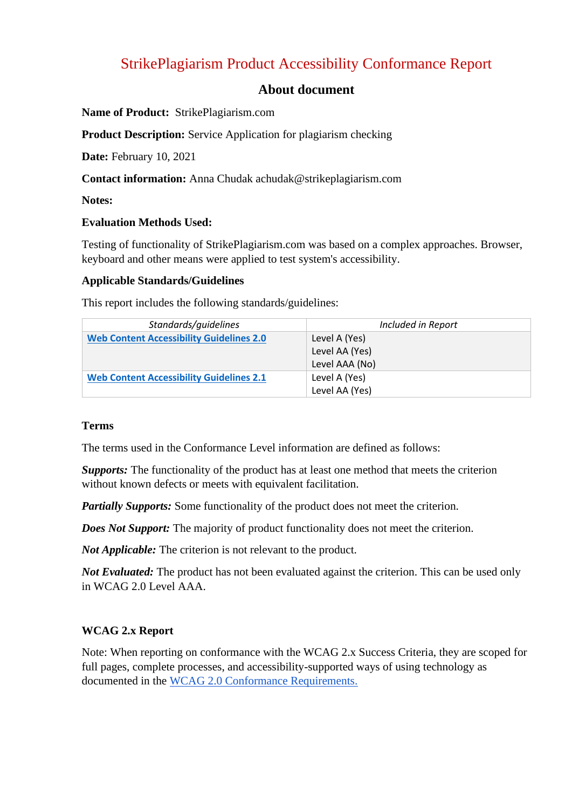# StrikePlagiarism Product Accessibility Conformance Report

### **About document**

#### **Name of Product:** StrikePlagiarism.com

**Product Description:** Service Application for plagiarism checking

**Date:** February 10, 2021

**Contact information:** Anna Chudak achudak@strikeplagiarism.com

**Notes:**

#### **Evaluation Methods Used:**

Testing of functionality of StrikePlagiarism.com was based on a complex approaches. Browser, keyboard and other means were applied to test system's accessibility.

#### **Applicable Standards/Guidelines**

This report includes the following standards/guidelines:

| Standards/guidelines                            | Included in Report |
|-------------------------------------------------|--------------------|
| <b>Web Content Accessibility Guidelines 2.0</b> | Level A (Yes)      |
|                                                 | Level AA (Yes)     |
|                                                 | Level AAA (No)     |
| <b>Web Content Accessibility Guidelines 2.1</b> | Level A (Yes)      |
|                                                 | Level AA (Yes)     |

#### **Terms**

The terms used in the Conformance Level information are defined as follows:

*Supports:* The functionality of the product has at least one method that meets the criterion without known defects or meets with equivalent facilitation.

*Partially Supports:* Some functionality of the product does not meet the criterion.

*Does Not Support:* The majority of product functionality does not meet the criterion.

*Not Applicable:* The criterion is not relevant to the product.

*Not Evaluated:* The product has not been evaluated against the criterion. This can be used only in WCAG 2.0 Level AAA.

### **WCAG 2.x Report**

Note: When reporting on conformance with the WCAG 2.x Success Criteria, they are scoped for full pages, complete processes, and accessibility-supported ways of using technology as documented in the [WCAG 2.0 Conformance Requirements.](https://www.w3.org/TR/WCAG20/)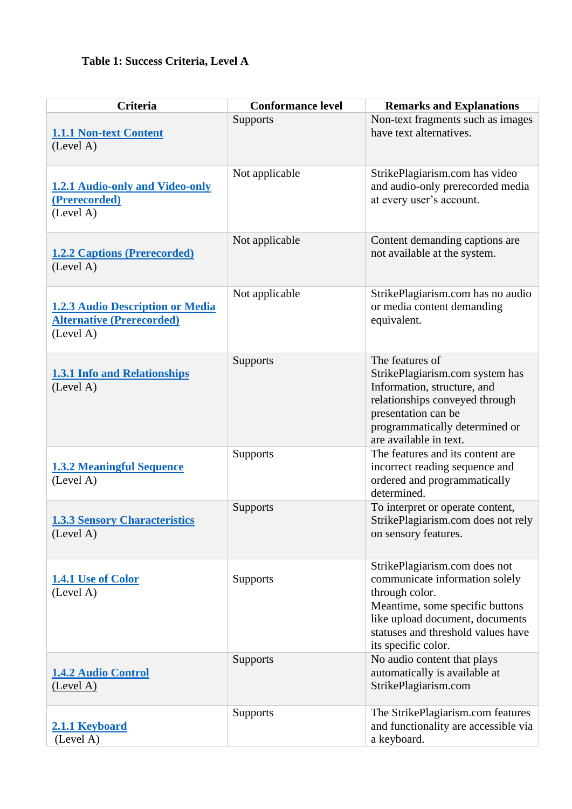# **Table 1: Success Criteria, Level A**

| <b>Criteria</b>                                                                          | <b>Conformance level</b> | <b>Remarks and Explanations</b>                                                                                                                                                                                      |
|------------------------------------------------------------------------------------------|--------------------------|----------------------------------------------------------------------------------------------------------------------------------------------------------------------------------------------------------------------|
| <b>1.1.1 Non-text Content</b><br>(Level A)                                               | Supports                 | Non-text fragments such as images<br>have text alternatives.                                                                                                                                                         |
| <b>1.2.1 Audio-only and Video-only</b><br>(Prerecorded)<br>(Level A)                     | Not applicable           | StrikePlagiarism.com has video<br>and audio-only prerecorded media<br>at every user's account.                                                                                                                       |
| <b>1.2.2 Captions (Prerecorded)</b><br>(Level A)                                         | Not applicable           | Content demanding captions are<br>not available at the system.                                                                                                                                                       |
| <b>1.2.3 Audio Description or Media</b><br><b>Alternative (Prerecorded)</b><br>(Level A) | Not applicable           | StrikePlagiarism.com has no audio<br>or media content demanding<br>equivalent.                                                                                                                                       |
| <b>1.3.1 Info and Relationships</b><br>(Level A)                                         | Supports                 | The features of<br>StrikePlagiarism.com system has<br>Information, structure, and<br>relationships conveyed through<br>presentation can be<br>programmatically determined or<br>are available in text.               |
| <b>1.3.2 Meaningful Sequence</b><br>(Level A)                                            | Supports                 | The features and its content are<br>incorrect reading sequence and<br>ordered and programmatically<br>determined.                                                                                                    |
| <b>1.3.3 Sensory Characteristics</b><br>(Level A)                                        | Supports                 | To interpret or operate content,<br>StrikePlagiarism.com does not rely<br>on sensory features.                                                                                                                       |
| 1.4.1 Use of Color<br>(Level A)                                                          | Supports                 | StrikePlagiarism.com does not<br>communicate information solely<br>through color.<br>Meantime, some specific buttons<br>like upload document, documents<br>statuses and threshold values have<br>its specific color. |
| <b>1.4.2 Audio Control</b><br>(Level A)                                                  | Supports                 | No audio content that plays<br>automatically is available at<br>StrikePlagiarism.com                                                                                                                                 |
| 2.1.1 Keyboard<br>(Level A)                                                              | Supports                 | The StrikePlagiarism.com features<br>and functionality are accessible via<br>a keyboard.                                                                                                                             |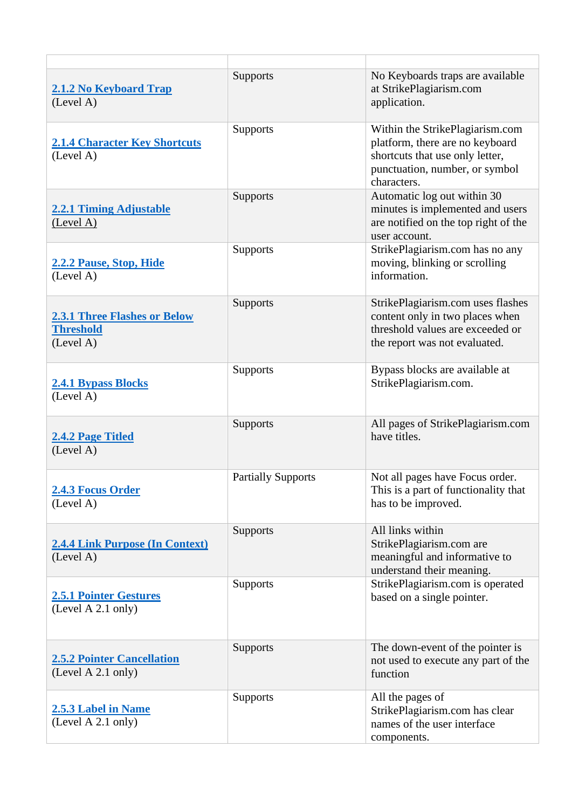| <b>2.1.2 No Keyboard Trap</b><br>(Level A)                           | <b>Supports</b>           | No Keyboards traps are available<br>at StrikePlagiarism.com<br>application.                                                                            |
|----------------------------------------------------------------------|---------------------------|--------------------------------------------------------------------------------------------------------------------------------------------------------|
| <b>2.1.4 Character Key Shortcuts</b><br>(Level A)                    | <b>Supports</b>           | Within the StrikePlagiarism.com<br>platform, there are no keyboard<br>shortcuts that use only letter,<br>punctuation, number, or symbol<br>characters. |
| <b>2.2.1 Timing Adjustable</b><br>(Level A)                          | <b>Supports</b>           | Automatic log out within 30<br>minutes is implemented and users<br>are notified on the top right of the<br>user account.                               |
| 2.2.2 Pause, Stop, Hide<br>(Level A)                                 | <b>Supports</b>           | StrikePlagiarism.com has no any<br>moving, blinking or scrolling<br>information.                                                                       |
| <b>2.3.1 Three Flashes or Below</b><br><b>Threshold</b><br>(Level A) | <b>Supports</b>           | StrikePlagiarism.com uses flashes<br>content only in two places when<br>threshold values are exceeded or<br>the report was not evaluated.              |
| <b>2.4.1 Bypass Blocks</b><br>(Level A)                              | <b>Supports</b>           | Bypass blocks are available at<br>StrikePlagiarism.com.                                                                                                |
| 2.4.2 Page Titled<br>(Level A)                                       | <b>Supports</b>           | All pages of StrikePlagiarism.com<br>have titles.                                                                                                      |
| 2.4.3 Focus Order<br>(Level A)                                       | <b>Partially Supports</b> | Not all pages have Focus order.<br>This is a part of functionality that<br>has to be improved.                                                         |
| <b>2.4.4 Link Purpose (In Context)</b><br>(Level A)                  | <b>Supports</b>           | All links within<br>StrikePlagiarism.com are<br>meaningful and informative to<br>understand their meaning.                                             |
| <b>2.5.1 Pointer Gestures</b><br>(Level A 2.1 only)                  | <b>Supports</b>           | StrikePlagiarism.com is operated<br>based on a single pointer.                                                                                         |
| <b>2.5.2 Pointer Cancellation</b><br>(Level A 2.1 only)              | <b>Supports</b>           | The down-event of the pointer is<br>not used to execute any part of the<br>function                                                                    |
| <b>2.5.3 Label in Name</b><br>(Level A 2.1 only)                     | <b>Supports</b>           | All the pages of<br>StrikePlagiarism.com has clear<br>names of the user interface<br>components.                                                       |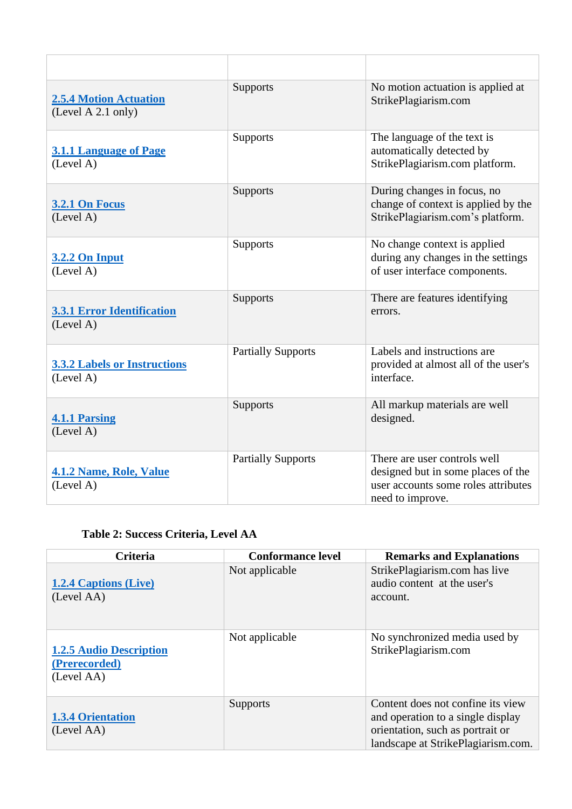| <b>2.5.4 Motion Actuation</b><br>(Level A 2.1 only) | Supports                  | No motion actuation is applied at<br>StrikePlagiarism.com                                                                     |
|-----------------------------------------------------|---------------------------|-------------------------------------------------------------------------------------------------------------------------------|
| <b>3.1.1 Language of Page</b><br>(Level A)          | <b>Supports</b>           | The language of the text is<br>automatically detected by<br>StrikePlagiarism.com platform.                                    |
| <b>3.2.1 On Focus</b><br>(Level A)                  | Supports                  | During changes in focus, no<br>change of context is applied by the<br>StrikePlagiarism.com's platform.                        |
| <b>3.2.2 On Input</b><br>(Level A)                  | <b>Supports</b>           | No change context is applied<br>during any changes in the settings<br>of user interface components.                           |
| <b>3.3.1 Error Identification</b><br>(Level A)      | Supports                  | There are features identifying<br>errors.                                                                                     |
| <b>3.3.2 Labels or Instructions</b><br>(Level A)    | <b>Partially Supports</b> | Labels and instructions are<br>provided at almost all of the user's<br>interface.                                             |
| <b>4.1.1 Parsing</b><br>(Level A)                   | Supports                  | All markup materials are well<br>designed.                                                                                    |
| <b>4.1.2 Name, Role, Value</b><br>(Level A)         | <b>Partially Supports</b> | There are user controls well<br>designed but in some places of the<br>user accounts some roles attributes<br>need to improve. |

# **Table 2: Success Criteria, Level AA**

| <b>Criteria</b>                                               | <b>Conformance level</b> | <b>Remarks and Explanations</b>                                                                                                                  |
|---------------------------------------------------------------|--------------------------|--------------------------------------------------------------------------------------------------------------------------------------------------|
| <b>1.2.4 Captions (Live)</b><br>(Level AA)                    | Not applicable           | StrikePlagiarism.com has live<br>audio content at the user's<br>account.                                                                         |
| <b>1.2.5 Audio Description</b><br>(Prerecorded)<br>(Level AA) | Not applicable           | No synchronized media used by<br>StrikePlagiarism.com                                                                                            |
| <b>1.3.4 Orientation</b><br>(Level AA)                        | Supports                 | Content does not confine its view<br>and operation to a single display<br>orientation, such as portrait or<br>landscape at StrikePlagiarism.com. |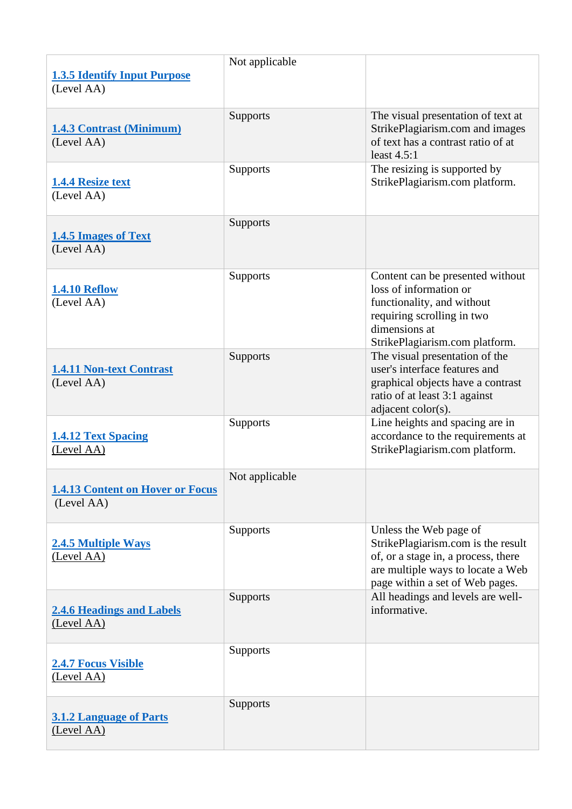| <b>1.3.5 Identify Input Purpose</b><br>(Level AA)     | Not applicable  |                                                                                                                                                                             |
|-------------------------------------------------------|-----------------|-----------------------------------------------------------------------------------------------------------------------------------------------------------------------------|
| <b>1.4.3 Contrast (Minimum)</b><br>(Level AA)         | <b>Supports</b> | The visual presentation of text at<br>StrikePlagiarism.com and images<br>of text has a contrast ratio of at<br>least $4.5:1$                                                |
| <b>1.4.4 Resize text</b><br>(Level AA)                | <b>Supports</b> | The resizing is supported by<br>StrikePlagiarism.com platform.                                                                                                              |
| <b>1.4.5 Images of Text</b><br>(Level AA)             | <b>Supports</b> |                                                                                                                                                                             |
| <b>1.4.10 Reflow</b><br>(Level AA)                    | <b>Supports</b> | Content can be presented without<br>loss of information or<br>functionality, and without<br>requiring scrolling in two<br>dimensions at<br>StrikePlagiarism.com platform.   |
| <b>1.4.11 Non-text Contrast</b><br>(Level AA)         | Supports        | The visual presentation of the<br>user's interface features and<br>graphical objects have a contrast<br>ratio of at least 3:1 against<br>adjacent color(s).                 |
| <b>1.4.12 Text Spacing</b><br>(Level AA)              | Supports        | Line heights and spacing are in<br>accordance to the requirements at<br>StrikePlagiarism.com platform.                                                                      |
| <b>1.4.13 Content on Hover or Focus</b><br>(Level AA) | Not applicable  |                                                                                                                                                                             |
| <b>2.4.5 Multiple Ways</b><br>(Level AA)              | <b>Supports</b> | Unless the Web page of<br>StrikePlagiarism.com is the result<br>of, or a stage in, a process, there<br>are multiple ways to locate a Web<br>page within a set of Web pages. |
| <b>2.4.6 Headings and Labels</b><br>(Level AA)        | <b>Supports</b> | All headings and levels are well-<br>informative.                                                                                                                           |
| <b>2.4.7 Focus Visible</b><br>(Level AA)              | Supports        |                                                                                                                                                                             |
| <b>3.1.2 Language of Parts</b><br>(Level AA)          | <b>Supports</b> |                                                                                                                                                                             |